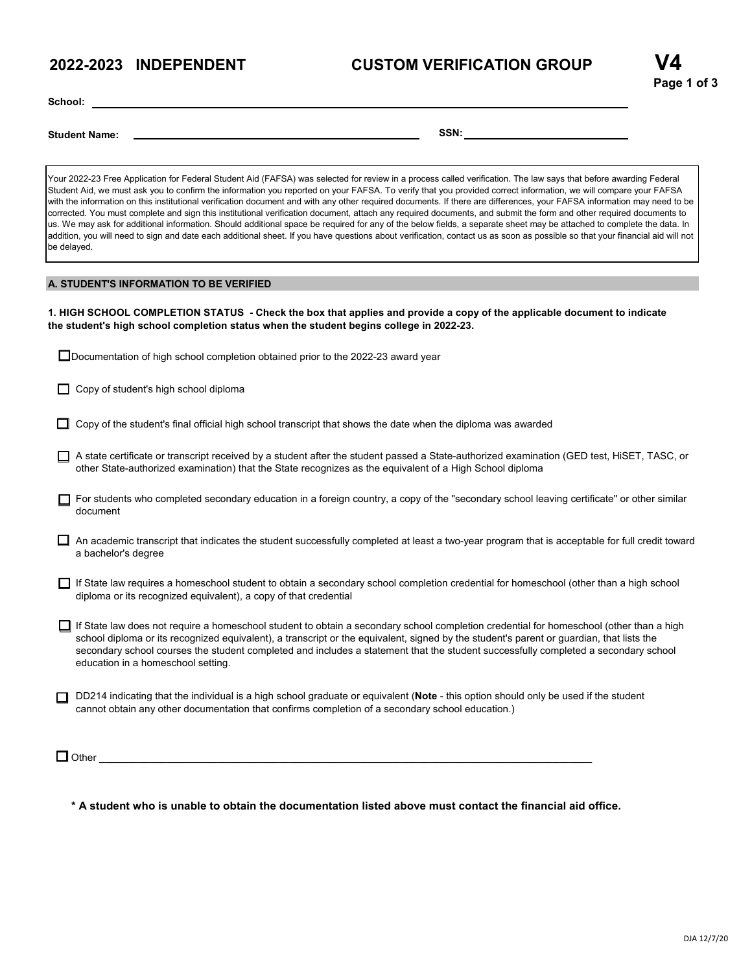## **2022-2023 INDEPENDENT CUSTOM VERIFICATION GROUP**

**School:**

**Student Name: SSN:**

Your 2022-23 Free Application for Federal Student Aid (FAFSA) was selected for review in a process called verification. The law says that before awarding Federal Student Aid, we must ask you to confirm the information you reported on your FAFSA. To verify that you provided correct information, we will compare your FAFSA with the information on this institutional verification document and with any other required documents. If there are differences, your FAFSA information may need to be corrected. You must complete and sign this institutional verification document, attach any required documents, and submit the form and other required documents to us. We may ask for additional information. Should additional space be required for any of the below fields, a separate sheet may be attached to complete the data. In addition, you will need to sign and date each additional sheet. If you have questions about verification, contact us as soon as possible so that your financial aid will not be delayed.

## **A. STUDENT'S INFORMATION TO BE VERIFIED**

1. HIGH SCHOOL COMPLETION STATUS - Check the box that applies and provide a copy of the applicable document to indicate **the student's high school completion status when the student begins college in 2022-23.**

| □ Documentation of high school completion obtained prior to the 2022-23 award year |  |
|------------------------------------------------------------------------------------|--|
|------------------------------------------------------------------------------------|--|

- $\Box$  Copy of student's high school diploma
- $\Box$  Copy of the student's final official high school transcript that shows the date when the diploma was awarded
- A state certificate or transcript received by a student after the student passed a State-authorized examination (GED test, HiSET, TASC, or other State-authorized examination) that the State recognizes as the equivalent of a High School diploma
- For students who completed secondary education in a foreign country, a copy of the "secondary school leaving certificate" or other similar document
- An academic transcript that indicates the student successfully completed at least a two-year program that is acceptable for full credit toward a bachelor's degree
- □ If State law requires a homeschool student to obtain a secondary school completion credential for homeschool (other than a high school diploma or its recognized equivalent), a copy of that credential
- □ If State law does not require a homeschool student to obtain a secondary school completion credential for homeschool (other than a high school diploma or its recognized equivalent), a transcript or the equivalent, signed by the student's parent or guardian, that lists the secondary school courses the student completed and includes a statement that the student successfully completed a secondary school education in a homeschool setting.
- DD214 indicating that the individual is a high school graduate or equivalent (**Note** this option should only be used if the student cannot obtain any other documentation that confirms completion of a secondary school education.)

Other \_\_\_\_\_\_\_\_\_\_\_\_\_\_\_\_\_\_\_\_\_\_\_\_\_\_\_\_\_\_\_\_\_\_\_\_\_\_\_\_\_\_\_\_\_\_\_\_\_\_\_\_\_\_\_\_\_\_\_\_\_\_\_\_\_\_\_\_\_\_\_\_\_\_\_\_\_\_\_\_\_\_\_\_\_\_\_\_

**\* A student who is unable to obtain the documentation listed above must contact the financial aid office.**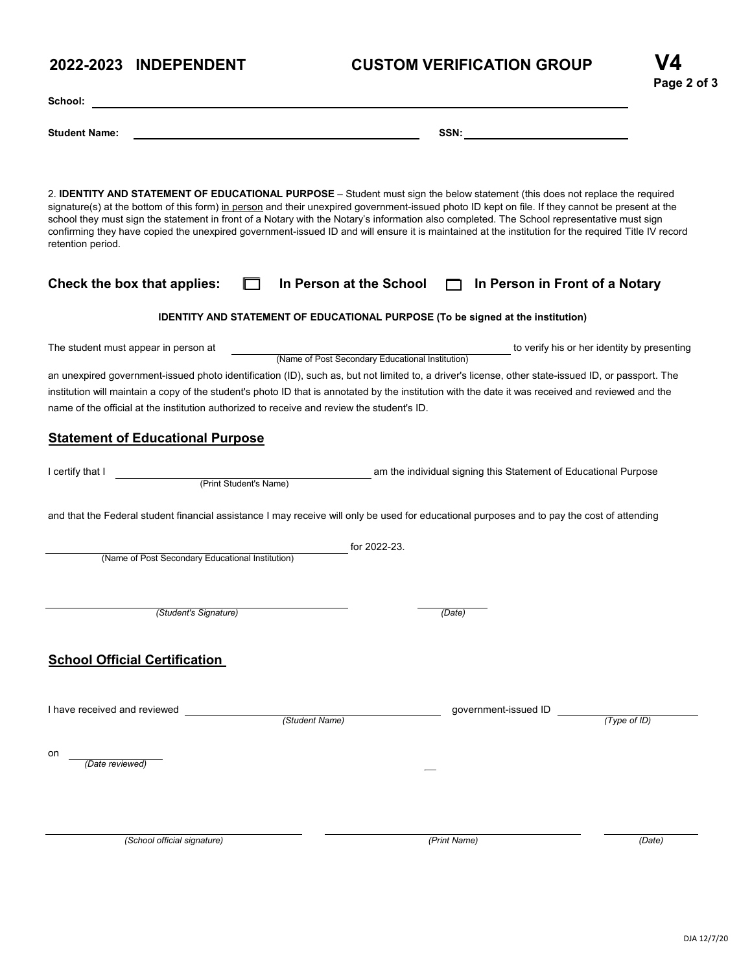# **SSN: Student Name: School:**

**2022-2023 INDEPENDENT** 

| 2. <b>IDENTITY AND STATEMENT OF EDUCATIONAL PURPOSE</b> – Student must sign the below statement (this does not replace the required<br>signature(s) at the bottom of this form) in person and their unexpired government-issued photo ID kept on file. If they cannot be present at the<br>school they must sign the statement in front of a Notary with the Notary's information also completed. The School representative must sign<br>confirming they have copied the unexpired government-issued ID and will ensure it is maintained at the institution for the required Title IV record<br>retention period. |                                                                                                 |              |  |  |  |  |
|-------------------------------------------------------------------------------------------------------------------------------------------------------------------------------------------------------------------------------------------------------------------------------------------------------------------------------------------------------------------------------------------------------------------------------------------------------------------------------------------------------------------------------------------------------------------------------------------------------------------|-------------------------------------------------------------------------------------------------|--------------|--|--|--|--|
| Check the box that applies:                                                                                                                                                                                                                                                                                                                                                                                                                                                                                                                                                                                       | In Person at the School<br>In Person in Front of a Notary                                       |              |  |  |  |  |
| <b>IDENTITY AND STATEMENT OF EDUCATIONAL PURPOSE (To be signed at the institution)</b>                                                                                                                                                                                                                                                                                                                                                                                                                                                                                                                            |                                                                                                 |              |  |  |  |  |
| The student must appear in person at                                                                                                                                                                                                                                                                                                                                                                                                                                                                                                                                                                              | to verify his or her identity by presenting<br>(Name of Post Secondary Educational Institution) |              |  |  |  |  |
| an unexpired government-issued photo identification (ID), such as, but not limited to, a driver's license, other state-issued ID, or passport. The<br>institution will maintain a copy of the student's photo ID that is annotated by the institution with the date it was received and reviewed and the<br>name of the official at the institution authorized to receive and review the student's ID.                                                                                                                                                                                                            |                                                                                                 |              |  |  |  |  |
| <b>Statement of Educational Purpose</b>                                                                                                                                                                                                                                                                                                                                                                                                                                                                                                                                                                           |                                                                                                 |              |  |  |  |  |
| I certify that I<br>(Print Student's Name)                                                                                                                                                                                                                                                                                                                                                                                                                                                                                                                                                                        | am the individual signing this Statement of Educational Purpose                                 |              |  |  |  |  |
| and that the Federal student financial assistance I may receive will only be used for educational purposes and to pay the cost of attending                                                                                                                                                                                                                                                                                                                                                                                                                                                                       |                                                                                                 |              |  |  |  |  |
| (Name of Post Secondary Educational Institution)                                                                                                                                                                                                                                                                                                                                                                                                                                                                                                                                                                  | for 2022-23.                                                                                    |              |  |  |  |  |
| (Student's Signature)                                                                                                                                                                                                                                                                                                                                                                                                                                                                                                                                                                                             | (Date)                                                                                          |              |  |  |  |  |
| <b>School Official Certification</b>                                                                                                                                                                                                                                                                                                                                                                                                                                                                                                                                                                              |                                                                                                 |              |  |  |  |  |
| I have received and reviewed<br>(Student Name)                                                                                                                                                                                                                                                                                                                                                                                                                                                                                                                                                                    | government-issued ID                                                                            | (Type of ID) |  |  |  |  |
| on<br>(Date reviewed)                                                                                                                                                                                                                                                                                                                                                                                                                                                                                                                                                                                             |                                                                                                 |              |  |  |  |  |
| (School official signature)                                                                                                                                                                                                                                                                                                                                                                                                                                                                                                                                                                                       | (Print Name)                                                                                    | (Date)       |  |  |  |  |